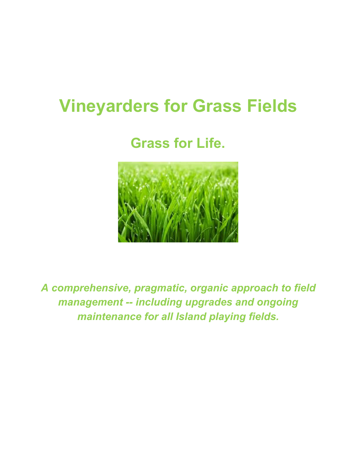# **Vineyarders for Grass Fields**

**Grass for Life.**



*A comprehensive, pragmatic, organic approach to field management -- including upgrades and ongoing maintenance for all Island playing fields.*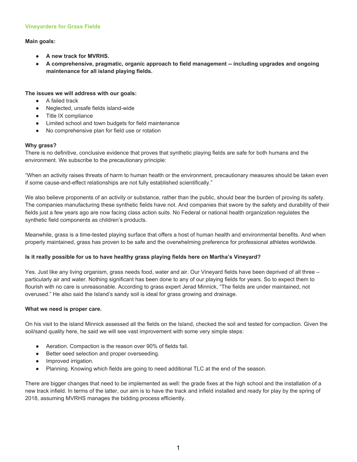#### **Vineyarders for Grass Fields**

# **Main goals:**

- **● A new track for MVRHS.**
- **● A comprehensive, pragmatic, organic approach to field management -- including upgrades and ongoing maintenance for all island playing fields.**

#### **The issues we will address with our goals:**

- A failed track
- Neglected, unsafe fields island-wide
- Title IX compliance
- Limited school and town budgets for field maintenance
- No comprehensive plan for field use or rotation

#### **Why grass?**

There is no definitive, conclusive evidence that proves that synthetic playing fields are safe for both humans and the environment. We subscribe to the precautionary principle:

"When an activity raises threats of harm to human health or the environment, precautionary measures should be taken even if some cause-and-effect relationships are not fully established scientifically."

We also believe proponents of an activity or substance, rather than the public, should bear the burden of proving its safety. The companies manufacturing these synthetic fields have not. And companies that swore by the safety and durability of their fields just a few years ago are now facing class action suits. No Federal or national health organization regulates the synthetic field components as children's products.

Meanwhile, grass is a time-tested playing surface that offers a host of human health and environmental benefits. And when properly maintained, grass has proven to be safe and the overwhelming preference for professional athletes worldwide.

#### **Is it really possible for us to have healthy grass playing fields here on Martha's Vineyard?**

Yes. Just like any living organism, grass needs food, water and air. Our Vineyard fields have been deprived of all three – particularly air and water. Nothing significant has been done to any of our playing fields for years. So to expect them to flourish with no care is unreasonable. According to grass expert Jerad Minnick, "The fields are under maintained, not overused." He also said the Island's sandy soil is ideal for grass growing and drainage.

#### **What we need is proper care.**

On his visit to the island Minnick assessed all the fields on the Island, checked the soil and tested for compaction. Given the soil/sand quality here, he said we will see vast improvement with some very simple steps:

- Aeration. Compaction is the reason over 90% of fields fail.
- Better seed selection and proper overseeding.
- Improved irrigation.
- Planning. Knowing which fields are going to need additional TLC at the end of the season.

There are bigger changes that need to be implemented as well: the grade fixes at the high school and the installation of a new track infield. In terms of the latter, our aim is to have the track and infield installed and ready for play by the spring of 2018, assuming MVRHS manages the bidding process efficiently.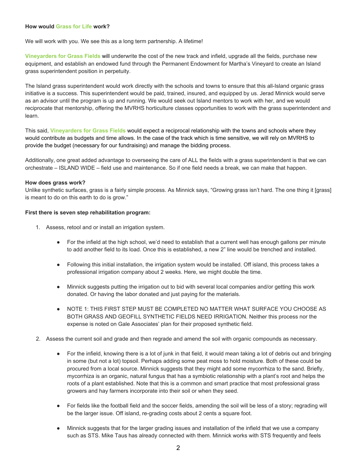#### **How would Grass for Life work?**

We will work with you. We see this as a long term partnership. A lifetime!

**Vineyarders for Grass Fields** will underwrite the cost of the new track and infield, upgrade all the fields, purchase new equipment, and establish an endowed fund through the Permanent Endowment for Martha's Vineyard to create an Island grass superintendent position in perpetuity.

The Island grass superintendent would work directly with the schools and towns to ensure that this all-Island organic grass initiative is a success. This superintendent would be paid, trained, insured, and equipped by us. Jerad Minnick would serve as an advisor until the program is up and running. We would seek out Island mentors to work with her, and we would reciprocate that mentorship, offering the MVRHS horticulture classes opportunities to work with the grass superintendent and learn.

This said, **Vineyarders for Grass Fields** would expect a reciprocal relationship with the towns and schools where they would contribute as budgets and time allows. In the case of the track which is time sensitive, we will rely on MVRHS to provide the budget (necessary for our fundraising) and manage the bidding process.

Additionally, one great added advantage to overseeing the care of ALL the fields with a grass superintendent is that we can orchestrate – ISLAND WIDE – field use and maintenance. So if one field needs a break, we can make that happen.

#### **How does grass work?**

Unlike synthetic surfaces, grass is a fairly simple process. As Minnick says, "Growing grass isn't hard. The one thing it [grass] is meant to do on this earth to do is grow."

#### **First there is seven step rehabilitation program:**

- 1. Assess, retool and or install an irrigation system.
	- For the infield at the high school, we'd need to establish that a current well has enough gallons per minute to add another field to its load. Once this is established, a new 2" line would be trenched and installed.
	- Following this initial installation, the irrigation system would be installed. Off island, this process takes a professional irrigation company about 2 weeks. Here, we might double the time.
	- Minnick suggests putting the irrigation out to bid with several local companies and/or getting this work donated. Or having the labor donated and just paying for the materials.
	- NOTE 1: THIS FIRST STEP MUST BE COMPLETED NO MATTER WHAT SURFACE YOU CHOOSE AS BOTH GRASS AND GEOFILL SYNTHETIC FIELDS NEED IRRIGATION. Neither this process nor the expense is noted on Gale Associates' plan for their proposed synthetic field.
- 2. Assess the current soil and grade and then regrade and amend the soil with organic compounds as necessary.
	- For the infield, knowing there is a lot of junk in that field, it would mean taking a lot of debris out and bringing in some (but not a lot) topsoil. Perhaps adding some peat moss to hold moisture. Both of these could be procured from a local source. Minnick suggests that they might add some mycorrhiza to the sand. Briefly, mycorrhiza is an organic, natural fungus that has a symbiotic relationship with a plant's root and helps the roots of a plant established. Note that this is a common and smart practice that most professional grass growers and hay farmers incorporate into their soil or when they seed.
	- For fields like the football field and the soccer fields, amending the soil will be less of a story; regrading will be the larger issue. Off island, re-grading costs about 2 cents a square foot.
	- Minnick suggests that for the larger grading issues and installation of the infield that we use a company such as STS. Mike Taus has already connected with them. Minnick works with STS frequently and feels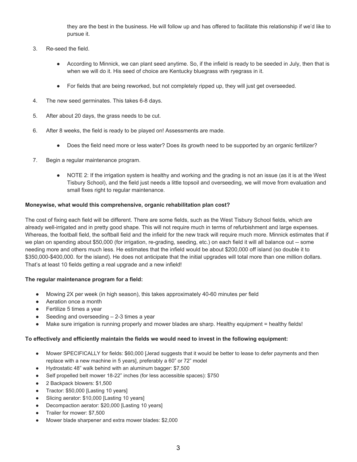they are the best in the business. He will follow up and has offered to facilitate this relationship if we'd like to pursue it.

- 3. Re-seed the field.
	- According to Minnick, we can plant seed anytime. So, if the infield is ready to be seeded in July, then that is when we will do it. His seed of choice are Kentucky bluegrass with ryegrass in it.
	- For fields that are being reworked, but not completely ripped up, they will just get overseeded.
- 4. The new seed germinates. This takes 6-8 days.
- 5. After about 20 days, the grass needs to be cut.
- 6. After 8 weeks, the field is ready to be played on! Assessments are made.
	- Does the field need more or less water? Does its growth need to be supported by an organic fertilizer?
- 7. Begin a regular maintenance program.
	- NOTE 2: If the irrigation system is healthy and working and the grading is not an issue (as it is at the West Tisbury School), and the field just needs a little topsoil and overseeding, we will move from evaluation and small fixes right to regular maintenance.

#### **Moneywise, what would this comprehensive, organic rehabilitation plan cost?**

The cost of fixing each field will be different. There are some fields, such as the West Tisbury School fields, which are already well-irrigated and in pretty good shape. This will not require much in terms of refurbishment and large expenses. Whereas, the football field, the softball field and the infield for the new track will require much more. Minnick estimates that if we plan on spending about \$50,000 (for irrigation, re-grading, seeding, etc.) on each field it will all balance out -- some needing more and others much less. He estimates that the infield would be about \$200,000 off island (so double it to \$350,000-\$400,000. for the island). He does not anticipate that the initial upgrades will total more than one million dollars. That's at least 10 fields getting a real upgrade and a new infield!

#### **The regular maintenance program for a field:**

- Mowing 2X per week (in high season), this takes approximately 40-60 minutes per field
- Aeration once a month
- Fertilize 5 times a year
- Seeding and overseeding  $-2-3$  times a year
- Make sure irrigation is running properly and mower blades are sharp. Healthy equipment = healthy fields!

#### **To effectively and efficiently maintain the fields we would need to invest in the following equipment:**

- Mower SPECIFICALLY for fields: \$60,000 [Jerad suggests that it would be better to lease to defer payments and then replace with a new machine in 5 years], preferably a 60" or 72" model
- Hydrostatic 48" walk behind with an aluminum bagger: \$7,500
- Self propelled belt mower 18-22" inches (for less accessible spaces): \$750
- 2 Backpack blowers: \$1,500
- Tractor: \$50,000 [Lasting 10 years]
- Slicing aerator: \$10,000 [Lasting 10 years]
- Decompaction aerator: \$20,000 [Lasting 10 years]
- Trailer for mower: \$7,500
- Mower blade sharpener and extra mower blades: \$2,000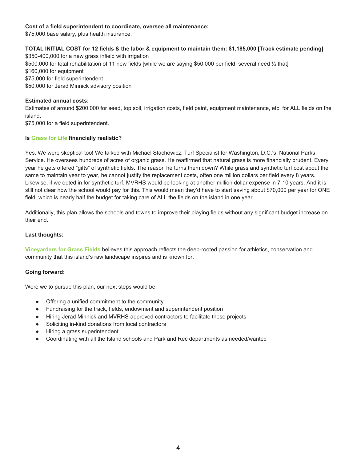#### **Cost of a field superintendent to coordinate, oversee all maintenance:**

\$75,000 base salary, plus health insurance.

# TOTAL INITIAL COST for 12 fields & the labor & equipment to maintain them: \$1,185,000 [Track estimate pending]

\$350-400,000 for a new grass infield with irrigation \$500,000 for total rehabilitation of 11 new fields [while we are saying \$50,000 per field, several need ½ that] \$160,000 for equipment \$75,000 for field superintendent \$50,000 for Jerad Minnick advisory position

# **Estimated annual costs:**

Estimates of around \$200,000 for seed, top soil, irrigation costs, field paint, equipment maintenance, etc. for ALL fields on the island.

\$75,000 for a field superintendent.

# **Is Grass for Life financially realistic?**

Yes. We were skeptical too! We talked with Michael Stachowicz, Turf Specialist for Washington, D.C.'s National Parks Service. He oversees hundreds of acres of organic grass. He reaffirmed that natural grass is more financially prudent. Every year he gets offered "gifts" of synthetic fields. The reason he turns them down? While grass and synthetic turf cost about the same to maintain year to year, he cannot justify the replacement costs, often one million dollars per field every 8 years. Likewise, if we opted in for synthetic turf, MVRHS would be looking at another million dollar expense in 7-10 years. And it is still not clear how the school would pay for this. This would mean they'd have to start saving about \$70,000 per year for ONE field, which is nearly half the budget for taking care of ALL the fields on the island in one year.

Additionally, this plan allows the schools and towns to improve their playing fields without any significant budget increase on their end.

# **Last thoughts:**

**Vineyarders for Grass Fields** believes this approach reflects the deep-rooted passion for athletics, conservation and community that this island's raw landscape inspires and is known for.

#### **Going forward:**

Were we to pursue this plan, our next steps would be:

- Offering a unified commitment to the community
- Fundraising for the track, fields, endowment and superintendent position
- Hiring Jerad Minnick and MVRHS-approved contractors to facilitate these projects
- Soliciting in-kind donations from local contractors
- Hiring a grass superintendent
- Coordinating with all the Island schools and Park and Rec departments as needed/wanted